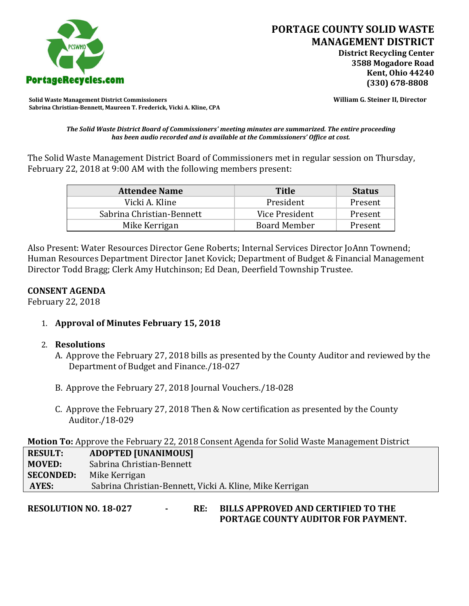

**Solid Waste Management District Commissioners William G. Steiner II, Director Sabrina Christian-Bennett, Maureen T. Frederick, Vicki A. Kline, CPA**

*The Solid Waste District Board of Commissioners' meeting minutes are summarized. The entire proceeding has been audio recorded and is available at the Commissioners' Office at cost.*

The Solid Waste Management District Board of Commissioners met in regular session on Thursday, February 22, 2018 at 9:00 AM with the following members present:

| <b>Attendee Name</b>      | <b>Title</b>        | <b>Status</b> |
|---------------------------|---------------------|---------------|
| Vicki A. Kline            | President           | Present       |
| Sabrina Christian-Bennett | Vice President      | Present       |
| Mike Kerrigan             | <b>Board Member</b> | Present       |

Also Present: Water Resources Director Gene Roberts; Internal Services Director JoAnn Townend; Human Resources Department Director Janet Kovick; Department of Budget & Financial Management Director Todd Bragg; Clerk Amy Hutchinson; Ed Dean, Deerfield Township Trustee.

## **CONSENT AGENDA**

February 22, 2018

1. **Approval of Minutes February 15, 2018**

## 2. **Resolutions**

- A. Approve the February 27, 2018 bills as presented by the County Auditor and reviewed by the Department of Budget and Finance./18-027
- B. Approve the February 27, 2018 Journal Vouchers./18-028
- C. Approve the February 27, 2018 Then & Now certification as presented by the County Auditor./18-029

**Motion To:** Approve the February 22, 2018 Consent Agenda for Solid Waste Management District

**RESULT: ADOPTED [UNANIMOUS] MOVED:** Sabrina Christian-Bennett **SECONDED:** Mike Kerrigan **AYES:** Sabrina Christian-Bennett, Vicki A. Kline, Mike Kerrigan

**RESOLUTION NO. 18-027 - RE: BILLS APPROVED AND CERTIFIED TO THE PORTAGE COUNTY AUDITOR FOR PAYMENT.**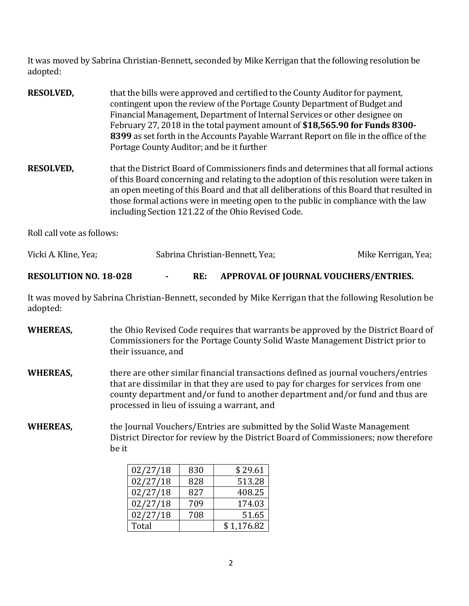It was moved by Sabrina Christian-Bennett, seconded by Mike Kerrigan that the following resolution be adopted:

- **RESOLVED,** that the bills were approved and certified to the County Auditor for payment, contingent upon the review of the Portage County Department of Budget and Financial Management, Department of Internal Services or other designee on February 27, 2018 in the total payment amount of **\$18,565.90 for Funds 8300- 8399** as set forth in the Accounts Payable Warrant Report on file in the office of the Portage County Auditor; and be it further
- **RESOLVED,** that the District Board of Commissioners finds and determines that all formal actions of this Board concerning and relating to the adoption of this resolution were taken in an open meeting of this Board and that all deliberations of this Board that resulted in those formal actions were in meeting open to the public in compliance with the law including Section 121.22 of the Ohio Revised Code.

Roll call vote as follows:

| Vicki A. Kline, Yea; | Sabrina Christian-Bennett, Yea; |  | Mike Kerrigan, Yea; |  |
|----------------------|---------------------------------|--|---------------------|--|
| $\frac{1}{2}$        | --                              |  |                     |  |

**RESOLUTION NO. 18-028 - RE: APPROVAL OF JOURNAL VOUCHERS/ENTRIES.**

It was moved by Sabrina Christian-Bennett, seconded by Mike Kerrigan that the following Resolution be adopted:

**WHEREAS,** the Ohio Revised Code requires that warrants be approved by the District Board of Commissioners for the Portage County Solid Waste Management District prior to their issuance, and **WHEREAS,** there are other similar financial transactions defined as journal vouchers/entries that are dissimilar in that they are used to pay for charges for services from one county department and/or fund to another department and/or fund and thus are processed in lieu of issuing a warrant, and **WHEREAS,** the Journal Vouchers/Entries are submitted by the Solid Waste Management District Director for review by the District Board of Commissioners; now therefore

| 02/27/18 | 830 | \$29.61    |
|----------|-----|------------|
| 02/27/18 | 828 | 513.28     |
| 02/27/18 | 827 | 408.25     |
| 02/27/18 | 709 | 174.03     |
| 02/27/18 | 708 | 51.65      |
| Total    |     | \$1,176.82 |

be it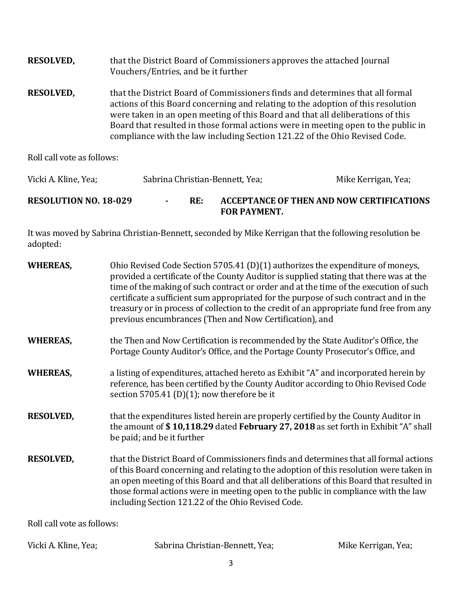| <b>RESOLVED,</b>           | that the District Board of Commissioners approves the attached Journal<br>Vouchers/Entries, and be it further                                                                                                                                                                                                                                                                                                          |                     |
|----------------------------|------------------------------------------------------------------------------------------------------------------------------------------------------------------------------------------------------------------------------------------------------------------------------------------------------------------------------------------------------------------------------------------------------------------------|---------------------|
| <b>RESOLVED,</b>           | that the District Board of Commissioners finds and determines that all formal<br>actions of this Board concerning and relating to the adoption of this resolution<br>were taken in an open meeting of this Board and that all deliberations of this<br>Board that resulted in those formal actions were in meeting open to the public in<br>compliance with the law including Section 121.22 of the Ohio Revised Code. |                     |
| Roll call vote as follows: |                                                                                                                                                                                                                                                                                                                                                                                                                        |                     |
| Vicki A. Kline, Yea;       | Sabrina Christian-Bennett, Yea;                                                                                                                                                                                                                                                                                                                                                                                        | Mike Kerrigan, Yea; |

**RESOLUTION NO. 18-029 - RE: ACCEPTANCE OF THEN AND NOW CERTIFICATIONS FOR PAYMENT.**

It was moved by Sabrina Christian-Bennett, seconded by Mike Kerrigan that the following resolution be adopted:

| <b>WHEREAS,</b>            | Ohio Revised Code Section 5705.41 (D)(1) authorizes the expenditure of moneys,<br>provided a certificate of the County Auditor is supplied stating that there was at the<br>time of the making of such contract or order and at the time of the execution of such<br>certificate a sufficient sum appropriated for the purpose of such contract and in the<br>treasury or in process of collection to the credit of an appropriate fund free from any<br>previous encumbrances (Then and Now Certification), and |                     |
|----------------------------|------------------------------------------------------------------------------------------------------------------------------------------------------------------------------------------------------------------------------------------------------------------------------------------------------------------------------------------------------------------------------------------------------------------------------------------------------------------------------------------------------------------|---------------------|
| <b>WHEREAS,</b>            | the Then and Now Certification is recommended by the State Auditor's Office, the<br>Portage County Auditor's Office, and the Portage County Prosecutor's Office, and                                                                                                                                                                                                                                                                                                                                             |                     |
| <b>WHEREAS,</b>            | a listing of expenditures, attached hereto as Exhibit "A" and incorporated herein by<br>reference, has been certified by the County Auditor according to Ohio Revised Code<br>section 5705.41 (D)(1); now therefore be it                                                                                                                                                                                                                                                                                        |                     |
| <b>RESOLVED,</b>           | that the expenditures listed herein are properly certified by the County Auditor in<br>the amount of \$10,118.29 dated February 27, 2018 as set forth in Exhibit "A" shall<br>be paid; and be it further                                                                                                                                                                                                                                                                                                         |                     |
| <b>RESOLVED,</b>           | that the District Board of Commissioners finds and determines that all formal actions<br>of this Board concerning and relating to the adoption of this resolution were taken in<br>an open meeting of this Board and that all deliberations of this Board that resulted in<br>those formal actions were in meeting open to the public in compliance with the law<br>including Section 121.22 of the Ohio Revised Code.                                                                                           |                     |
| Roll call vote as follows: |                                                                                                                                                                                                                                                                                                                                                                                                                                                                                                                  |                     |
| Vicki A. Kline, Yea;       | Sabrina Christian-Bennett, Yea;                                                                                                                                                                                                                                                                                                                                                                                                                                                                                  | Mike Kerrigan, Yea; |